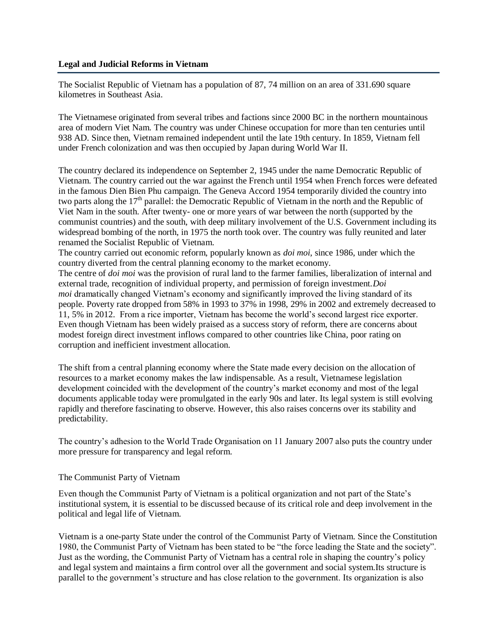#### **Legal and Judicial Reforms in Vietnam**

The Socialist Republic of Vietnam has a population of 87, 74 million on an area of 331.690 square kilometres in Southeast Asia.

The Vietnamese originated from several tribes and factions since 2000 BC in the northern mountainous area of modern Viet Nam. The country was under Chinese occupation for more than ten centuries until 938 AD. Since then, Vietnam remained independent until the late 19th century. In 1859, Vietnam fell under French colonization and was then occupied by Japan during World War II.

The country declared its independence on September 2, 1945 under the name Democratic Republic of Vietnam. The country carried out the war against the French until 1954 when French forces were defeated in the famous Dien Bien Phu campaign. The Geneva Accord 1954 temporarily divided the country into two parts along the 17<sup>th</sup> parallel: the Democratic Republic of Vietnam in the north and the Republic of Viet Nam in the south. After twenty- one or more years of war between the north (supported by the communist countries) and the south, with deep military involvement of the U.S. Government including its widespread bombing of the north, in 1975 the north took over. The country was fully reunited and later renamed the Socialist Republic of Vietnam.

The country carried out economic reform, popularly known as *doi moi*, since 1986, under which the country diverted from the central planning economy to the market economy.

The centre of *doi moi* was the provision of rural land to the farmer families, liberalization of internal and external trade, recognition of individual property, and permission of foreign investment.*Doi moi* dramatically changed Vietnam's economy and significantly improved the living standard of its people. Poverty rate dropped from 58% in 1993 to 37% in 1998, 29% in 2002 and extremely decreased to 11, 5% in 2012. From a rice importer, Vietnam has become the world's second largest rice exporter. Even though Vietnam has been widely praised as a success story of reform, there are concerns about modest foreign direct investment inflows compared to other countries like China, poor rating on corruption and inefficient investment allocation.

The shift from a central planning economy where the State made every decision on the allocation of resources to a market economy makes the law indispensable. As a result, Vietnamese legislation development coincided with the development of the country's market economy and most of the legal documents applicable today were promulgated in the early 90s and later. Its legal system is still evolving rapidly and therefore fascinating to observe. However, this also raises concerns over its stability and predictability.

The country's adhesion to the World Trade Organisation on 11 January 2007 also puts the country under more pressure for transparency and legal reform.

# The Communist Party of Vietnam

Even though the Communist Party of Vietnam is a political organization and not part of the State's institutional system, it is essential to be discussed because of its critical role and deep involvement in the political and legal life of Vietnam.

Vietnam is a one-party State under the control of the Communist Party of Vietnam. Since the Constitution 1980, the Communist Party of Vietnam has been stated to be "the force leading the State and the society". Just as the wording, the Communist Party of Vietnam has a central role in shaping the country's policy and legal system and maintains a firm control over all the government and social system.Its structure is parallel to the government's structure and has close relation to the government. Its organization is also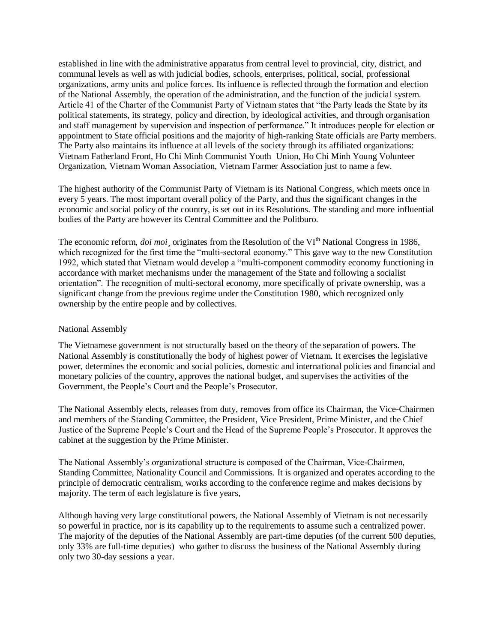established in line with the administrative apparatus from central level to provincial, city, district, and communal levels as well as with judicial bodies, schools, enterprises, political, social, professional organizations, army units and police forces. Its influence is reflected through the formation and election of the National Assembly, the operation of the administration, and the function of the judicial system. Article 41 of the Charter of the Communist Party of Vietnam states that "the Party leads the State by its political statements, its strategy, policy and direction, by ideological activities, and through organisation and staff management by supervision and inspection of performance." It introduces people for election or appointment to State official positions and the majority of high-ranking State officials are Party members. The Party also maintains its influence at all levels of the society through its affiliated organizations: Vietnam Fatherland Front, Ho Chi Minh Communist Youth Union, Ho Chi Minh Young Volunteer Organization, Vietnam Woman Association, Vietnam Farmer Association just to name a few.

The highest authority of the Communist Party of Vietnam is its National Congress, which meets once in every 5 years. The most important overall policy of the Party, and thus the significant changes in the economic and social policy of the country, is set out in its Resolutions. The standing and more influential bodies of the Party are however its Central Committee and the Politburo.

The economic reform, *doi moi* originates from the Resolution of the VI<sup>th</sup> National Congress in 1986. which recognized for the first time the "multi-sectoral economy." This gave way to the new Constitution 1992, which stated that Vietnam would develop a "multi-component commodity economy functioning in accordance with market mechanisms under the management of the State and following a socialist orientation". The recognition of multi-sectoral economy, more specifically of private ownership, was a significant change from the previous regime under the Constitution 1980, which recognized only ownership by the entire people and by collectives.

# National Assembly

The Vietnamese government is not structurally based on the theory of the separation of powers. The National Assembly is constitutionally the body of highest power of Vietnam. It exercises the legislative power, determines the economic and social policies, domestic and international policies and financial and monetary policies of the country, approves the national budget, and supervises the activities of the Government, the People's Court and the People's Prosecutor.

The National Assembly elects, releases from duty, removes from office its Chairman, the Vice-Chairmen and members of the Standing Committee, the President, Vice President, Prime Minister, and the Chief Justice of the Supreme People's Court and the Head of the Supreme People's Prosecutor. It approves the cabinet at the suggestion by the Prime Minister.

The National Assembly's organizational structure is composed of the Chairman, Vice-Chairmen, Standing Committee, Nationality Council and Commissions. It is organized and operates according to the principle of democratic centralism, works according to the conference regime and makes decisions by majority. The term of each legislature is five years,

Although having very large constitutional powers, the National Assembly of Vietnam is not necessarily so powerful in practice, nor is its capability up to the requirements to assume such a centralized power. The majority of the deputies of the National Assembly are part-time deputies (of the current 500 deputies, only 33% are full-time deputies) who gather to discuss the business of the National Assembly during only two 30-day sessions a year.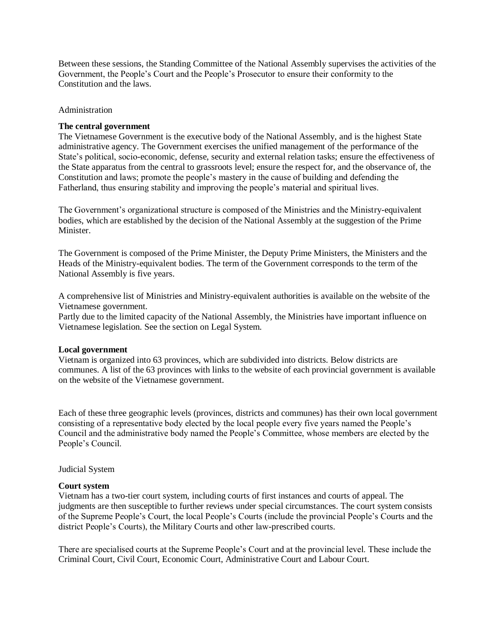Between these sessions, the Standing Committee of the National Assembly supervises the activities of the Government, the People's Court and the People's Prosecutor to ensure their conformity to the Constitution and the laws.

#### Administration

### **The central government**

The Vietnamese Government is the executive body of the National Assembly, and is the highest State administrative agency. The Government exercises the unified management of the performance of the State's political, socio-economic, defense, security and external relation tasks; ensure the effectiveness of the State apparatus from the central to grassroots level; ensure the respect for, and the observance of, the Constitution and laws; promote the people's mastery in the cause of building and defending the Fatherland, thus ensuring stability and improving the people's material and spiritual lives.

The Government's organizational structure is composed of the Ministries and the Ministry-equivalent bodies, which are established by the decision of the National Assembly at the suggestion of the Prime **Minister** 

The Government is composed of the Prime Minister, the Deputy Prime Ministers, the Ministers and the Heads of the Ministry-equivalent bodies. The term of the Government corresponds to the term of the National Assembly is five years.

A comprehensive list of Ministries and Ministry-equivalent authorities is available on the website of the Vietnamese government.

Partly due to the limited capacity of the National Assembly, the Ministries have important influence on Vietnamese legislation. See the section on Legal System.

#### **Local government**

Vietnam is organized into 63 provinces, which are subdivided into districts. Below districts are communes. A list of the 63 provinces with links to the website of each provincial government is available on the website of the Vietnamese government.

Each of these three geographic levels (provinces, districts and communes) has their own local government consisting of a representative body elected by the local people every five years named the People's Council and the administrative body named the People's Committee, whose members are elected by the People's Council.

#### Judicial System

#### **Court system**

Vietnam has a two-tier court system, including courts of first instances and courts of appeal. The judgments are then susceptible to further reviews under special circumstances. The court system consists of the Supreme People's Court, the local People's Courts (include the provincial People's Courts and the district People's Courts), the Military Courts and other law-prescribed courts.

There are specialised courts at the Supreme People's Court and at the provincial level. These include the Criminal Court, Civil Court, Economic Court, Administrative Court and Labour Court.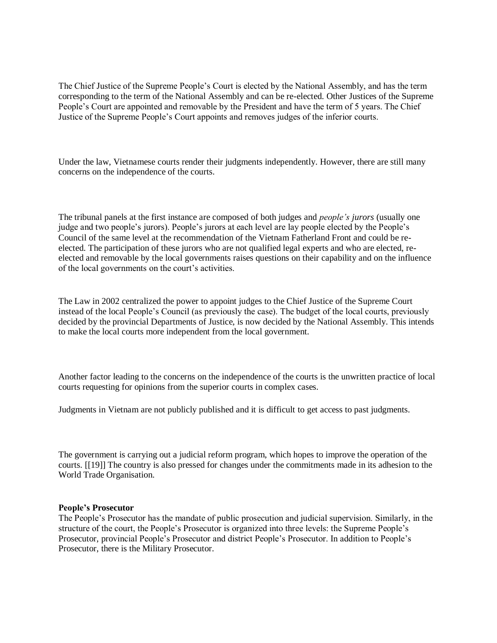The Chief Justice of the Supreme People's Court is elected by the National Assembly, and has the term corresponding to the term of the National Assembly and can be re-elected. Other Justices of the Supreme People's Court are appointed and removable by the President and have the term of 5 years. The Chief Justice of the Supreme People's Court appoints and removes judges of the inferior courts.

Under the law, Vietnamese courts render their judgments independently. However, there are still many concerns on the independence of the courts.

The tribunal panels at the first instance are composed of both judges and *people's jurors* (usually one judge and two people's jurors). People's jurors at each level are lay people elected by the People's Council of the same level at the recommendation of the Vietnam Fatherland Front and could be reelected. The participation of these jurors who are not qualified legal experts and who are elected, reelected and removable by the local governments raises questions on their capability and on the influence of the local governments on the court's activities.

The Law in 2002 centralized the power to appoint judges to the Chief Justice of the Supreme Court instead of the local People's Council (as previously the case). The budget of the local courts, previously decided by the provincial Departments of Justice, is now decided by the National Assembly. This intends to make the local courts more independent from the local government.

Another factor leading to the concerns on the independence of the courts is the unwritten practice of local courts requesting for opinions from the superior courts in complex cases.

Judgments in Vietnam are not publicly published and it is difficult to get access to past judgments.

The government is carrying out a judicial reform program, which hopes to improve the operation of the courts. [[19]] The country is also pressed for changes under the commitments made in its adhesion to the World Trade Organisation.

#### **People's Prosecutor**

The People's Prosecutor has the mandate of public prosecution and judicial supervision. Similarly, in the structure of the court, the People's Prosecutor is organized into three levels: the Supreme People's Prosecutor, provincial People's Prosecutor and district People's Prosecutor. In addition to People's Prosecutor, there is the Military Prosecutor.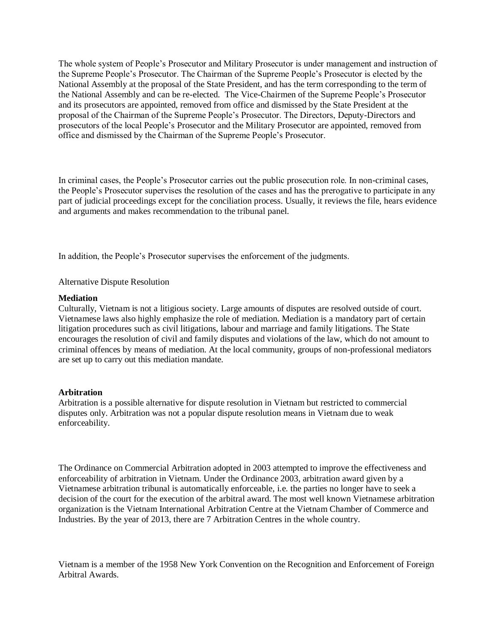The whole system of People's Prosecutor and Military Prosecutor is under management and instruction of the Supreme People's Prosecutor. The Chairman of the Supreme People's Prosecutor is elected by the National Assembly at the proposal of the State President, and has the term corresponding to the term of the National Assembly and can be re-elected. The Vice-Chairmen of the Supreme People's Prosecutor and its prosecutors are appointed, removed from office and dismissed by the State President at the proposal of the Chairman of the Supreme People's Prosecutor. The Directors, Deputy-Directors and prosecutors of the local People's Prosecutor and the Military Prosecutor are appointed, removed from office and dismissed by the Chairman of the Supreme People's Prosecutor.

In criminal cases, the People's Prosecutor carries out the public prosecution role. In non-criminal cases, the People's Prosecutor supervises the resolution of the cases and has the prerogative to participate in any part of judicial proceedings except for the conciliation process. Usually, it reviews the file, hears evidence and arguments and makes recommendation to the tribunal panel.

In addition, the People's Prosecutor supervises the enforcement of the judgments.

### Alternative Dispute Resolution

#### **Mediation**

Culturally, Vietnam is not a litigious society. Large amounts of disputes are resolved outside of court. Vietnamese laws also highly emphasize the role of mediation. Mediation is a mandatory part of certain litigation procedures such as civil litigations, labour and marriage and family litigations. The State encourages the resolution of civil and family disputes and violations of the law, which do not amount to criminal offences by means of mediation. At the local community, groups of non-professional mediators are set up to carry out this mediation mandate.

#### **Arbitration**

Arbitration is a possible alternative for dispute resolution in Vietnam but restricted to commercial disputes only. Arbitration was not a popular dispute resolution means in Vietnam due to weak enforceability.

The Ordinance on Commercial Arbitration adopted in 2003 attempted to improve the effectiveness and enforceability of arbitration in Vietnam. Under the Ordinance 2003, arbitration award given by a Vietnamese arbitration tribunal is automatically enforceable, i.e. the parties no longer have to seek a decision of the court for the execution of the arbitral award. The most well known Vietnamese arbitration organization is the Vietnam International Arbitration Centre at the Vietnam Chamber of Commerce and Industries. By the year of 2013, there are 7 Arbitration Centres in the whole country.

Vietnam is a member of the 1958 New York Convention on the Recognition and Enforcement of Foreign Arbitral Awards.